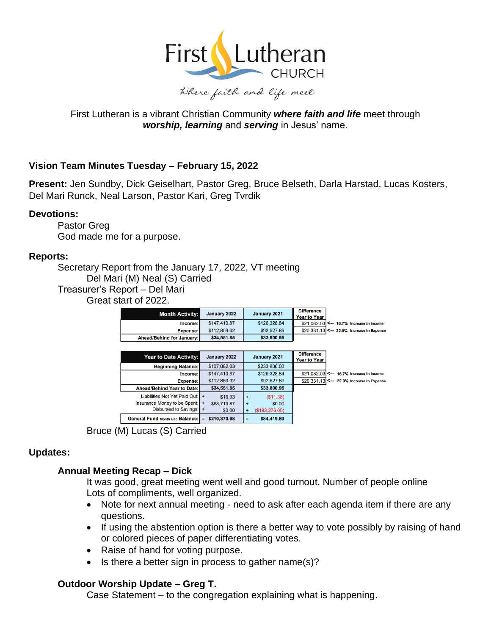

# First Lutheran is a vibrant Christian Community *where faith and life* meet through *worship, learning* and *serving* in Jesus' name.

# **Vision Team Minutes Tuesday – February 15, 2022**

**Present:** Jen Sundby, Dick Geiselhart, Pastor Greg, Bruce Belseth, Darla Harstad, Lucas Kosters, Del Mari Runck, Neal Larson, Pastor Kari, Greg Tvrdik

### **Devotions:**

Pastor Greg God made me for a purpose.

### **Reports:**

Secretary Report from the January 17, 2022, VT meeting Del Mari (M) Neal (S) Carried Treasurer's Report – Del Mari Great start of 2022.

| <b>Month Activity:</b>    | January 2022 | January 2021 | <b>Difference</b><br><b>Year to Year</b>  |
|---------------------------|--------------|--------------|-------------------------------------------|
| Income:                   | \$147,410.87 | \$126,328.84 | \$21,082,03 <-- 16.7% Increase in Income  |
| Expense:                  | \$112,859.02 | \$92,527.89  | \$20,331.13 <-- 22.0% Increase in Expense |
| Ahead/Behind for January: | \$34,551.85  | \$33,800.95  |                                           |

| <b>Year to Date Activity:</b>          | January 2022        | January 2021                 | <b>Difference</b><br><b>Year to Year</b>     |
|----------------------------------------|---------------------|------------------------------|----------------------------------------------|
| <b>Beginning Balance:</b>              | \$107,082.03        | \$233,906.03                 |                                              |
| Income:                                | \$147,410.87        | \$126,328.84                 | \$21,082.03 <-- 16.7% Increase in Income     |
| <b>Expense:</b>                        | \$112,859.02        | \$92,527.89                  | $$20.331.13$ <-<br>22.0% Increase in Expense |
| Ahead/Behind Year to Date:             | \$34,551.85         | \$33,800.95                  |                                              |
| Liabilities Not Yet Paid Out:   +      | \$16.33             | (S11.38)<br>$\ddot{}$        |                                              |
| Insurance Money to be Spent:   +       | \$68,719.87         | \$0.00<br>$\ddot{}$          |                                              |
| Disbursed to Savings: +                | \$0.00              | (\$183, 276.00)<br>$\ddot{}$ |                                              |
| <b>General Fund Month End Balance:</b> | \$210,370.08<br>$=$ | \$84,419.60<br>$=$           |                                              |

Bruce (M) Lucas (S) Carried

## **Updates:**

## **Annual Meeting Recap – Dick**

It was good, great meeting went well and good turnout. Number of people online Lots of compliments, well organized.

- Note for next annual meeting need to ask after each agenda item if there are any questions.
- If using the abstention option is there a better way to vote possibly by raising of hand or colored pieces of paper differentiating votes.
- Raise of hand for voting purpose.
- Is there a better sign in process to gather name(s)?

## **Outdoor Worship Update – Greg T.**

Case Statement – to the congregation explaining what is happening.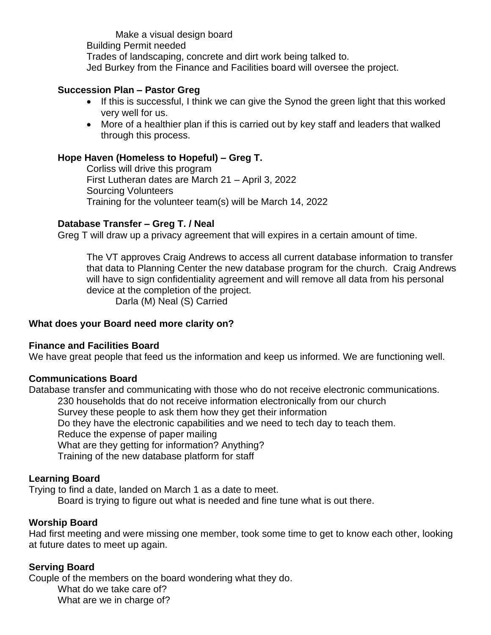Make a visual design board Building Permit needed Trades of landscaping, concrete and dirt work being talked to. Jed Burkey from the Finance and Facilities board will oversee the project.

## **Succession Plan – Pastor Greg**

- If this is successful, I think we can give the Synod the green light that this worked very well for us.
- More of a healthier plan if this is carried out by key staff and leaders that walked through this process.

### **Hope Haven (Homeless to Hopeful) – Greg T.**

Corliss will drive this program First Lutheran dates are March 21 – April 3, 2022 Sourcing Volunteers Training for the volunteer team(s) will be March 14, 2022

### **Database Transfer – Greg T. / Neal**

Greg T will draw up a privacy agreement that will expires in a certain amount of time.

The VT approves Craig Andrews to access all current database information to transfer that data to Planning Center the new database program for the church. Craig Andrews will have to sign confidentiality agreement and will remove all data from his personal device at the completion of the project. Darla (M) Neal (S) Carried

### **What does your Board need more clarity on?**

### **Finance and Facilities Board**

We have great people that feed us the information and keep us informed. We are functioning well.

### **Communications Board**

Database transfer and communicating with those who do not receive electronic communications. 230 households that do not receive information electronically from our church Survey these people to ask them how they get their information Do they have the electronic capabilities and we need to tech day to teach them. Reduce the expense of paper mailing What are they getting for information? Anything? Training of the new database platform for staff

# **Learning Board**

Trying to find a date, landed on March 1 as a date to meet.

Board is trying to figure out what is needed and fine tune what is out there.

## **Worship Board**

Had first meeting and were missing one member, took some time to get to know each other, looking at future dates to meet up again.

## **Serving Board**

Couple of the members on the board wondering what they do. What do we take care of? What are we in charge of?